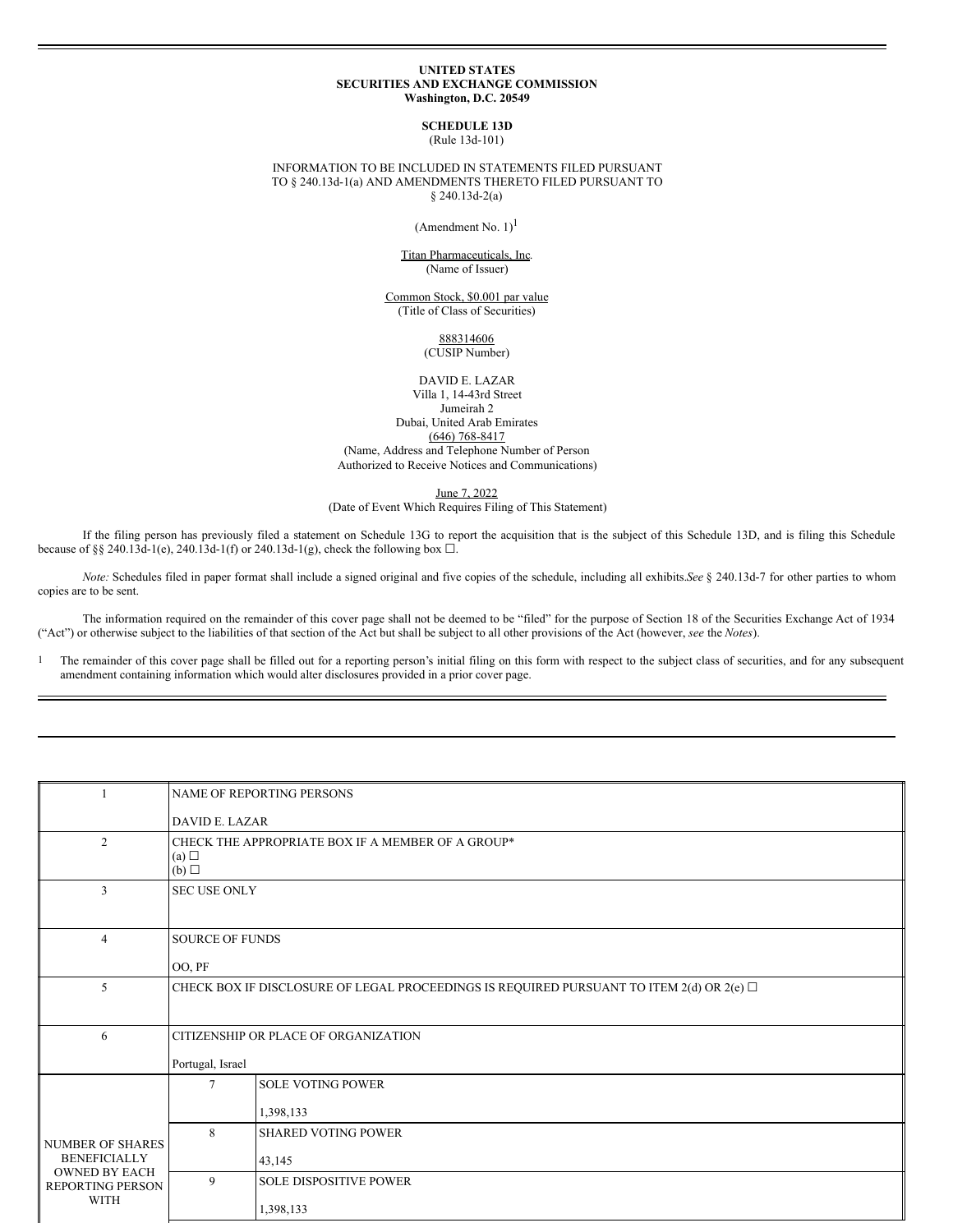#### **UNITED STATES SECURITIES AND EXCHANGE COMMISSION Washington, D.C. 20549**

**SCHEDULE 13D** (Rule 13d-101)

#### INFORMATION TO BE INCLUDED IN STATEMENTS FILED PURSUANT TO § 240.13d-1(a) AND AMENDMENTS THERETO FILED PURSUANT TO § 240.13d-2(a)

(Amendment No.  $1$ )<sup>1</sup>

## Titan Pharmaceuticals, Inc. (Name of Issuer)

Common Stock, \$0.001 par value (Title of Class of Securities)

> 888314606 (CUSIP Number)

DAVID E. LAZAR Villa 1, 14-43rd Street Jumeirah 2 Dubai, United Arab Emirates (646) 768-8417 (Name, Address and Telephone Number of Person Authorized to Receive Notices and Communications)

June 7, 2022

(Date of Event Which Requires Filing of This Statement)

If the filing person has previously filed a statement on Schedule 13G to report the acquisition that is the subject of this Schedule 13D, and is filing this Schedule because of §§ 240.13d-1(e), 240.13d-1(f) or 240.13d-1(g), check the following box  $\Box$ .

*Note:* Schedules filed in paper format shall include a signed original and five copies of the schedule, including all exhibits.*See* § 240.13d-7 for other parties to whom copies are to be sent.

The information required on the remainder of this cover page shall not be deemed to be "filed" for the purpose of Section 18 of the Securities Exchange Act of 1934 ("Act") or otherwise subject to the liabilities of that section of the Act but shall be subject to all other provisions of the Act (however, *see* the *Notes*).

<sup>1</sup> The remainder of this cover page shall be filled out for a reporting person's initial filing on this form with respect to the subject class of securities, and for any subsequent amendment containing information which would alter disclosures provided in a prior cover page.

|                                                                                                           | NAME OF REPORTING PERSONS                                                                     |                               |  |  |  |
|-----------------------------------------------------------------------------------------------------------|-----------------------------------------------------------------------------------------------|-------------------------------|--|--|--|
|                                                                                                           | <b>DAVID E. LAZAR</b>                                                                         |                               |  |  |  |
| $\overline{2}$                                                                                            | CHECK THE APPROPRIATE BOX IF A MEMBER OF A GROUP*<br>(a)<br>(b)                               |                               |  |  |  |
| 3                                                                                                         | <b>SEC USE ONLY</b>                                                                           |                               |  |  |  |
| $\overline{4}$                                                                                            | <b>SOURCE OF FUNDS</b>                                                                        |                               |  |  |  |
|                                                                                                           | OO, PF                                                                                        |                               |  |  |  |
| 5                                                                                                         | CHECK BOX IF DISCLOSURE OF LEGAL PROCEEDINGS IS REQUIRED PURSUANT TO ITEM 2(d) OR 2(e) $\Box$ |                               |  |  |  |
| 6                                                                                                         | CITIZENSHIP OR PLACE OF ORGANIZATION                                                          |                               |  |  |  |
|                                                                                                           | Portugal, Israel                                                                              |                               |  |  |  |
|                                                                                                           | $\tau$                                                                                        | <b>SOLE VOTING POWER</b>      |  |  |  |
| <b>NUMBER OF SHARES</b><br><b>BENEFICIALLY</b><br><b>OWNED BY EACH</b><br>REPORTING PERSON<br><b>WITH</b> |                                                                                               | 1,398,133                     |  |  |  |
|                                                                                                           | 8                                                                                             | <b>SHARED VOTING POWER</b>    |  |  |  |
|                                                                                                           |                                                                                               | 43,145                        |  |  |  |
|                                                                                                           | 9                                                                                             | <b>SOLE DISPOSITIVE POWER</b> |  |  |  |
|                                                                                                           |                                                                                               | 1,398,133                     |  |  |  |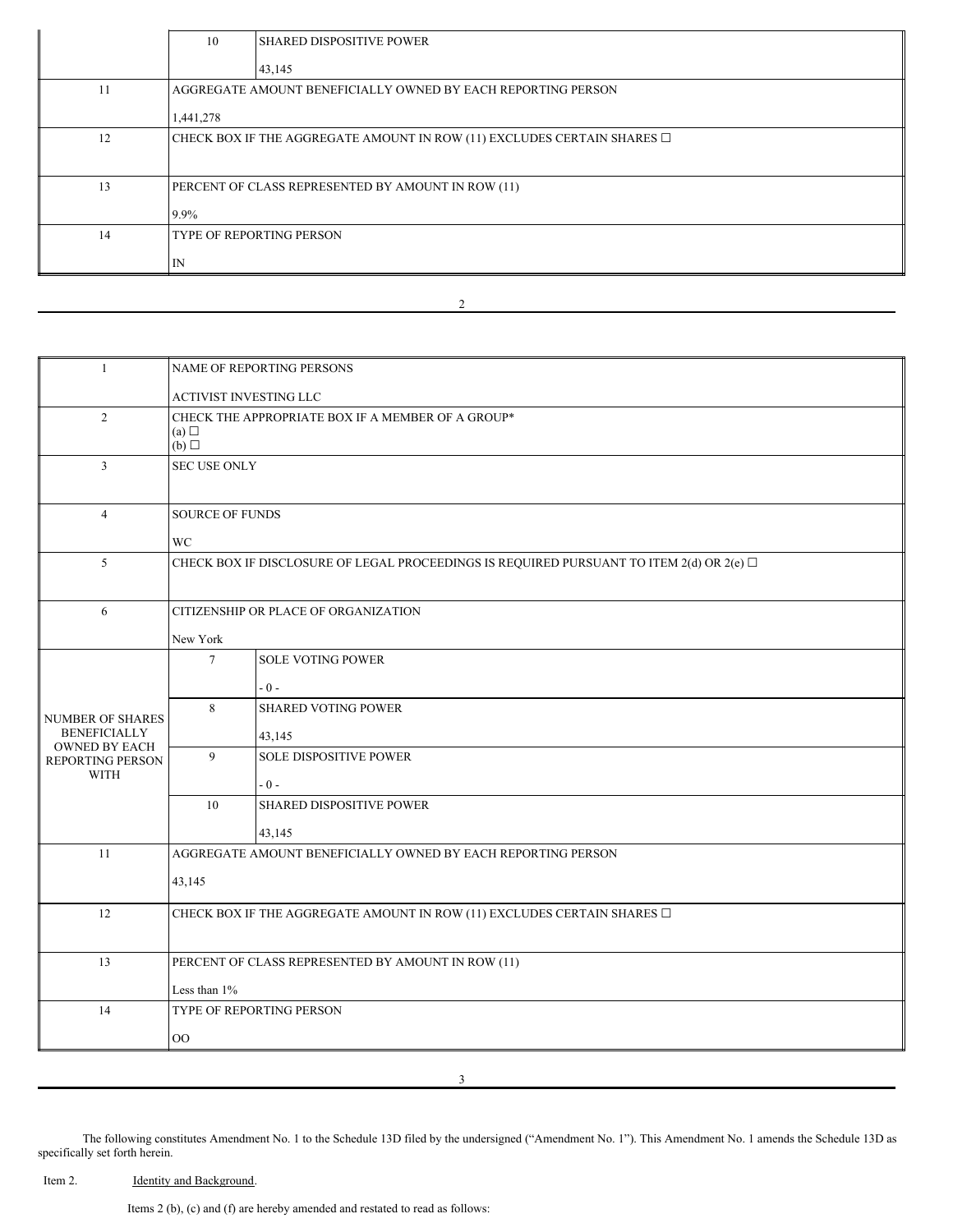|    | 10                                                                           | <b>SHARED DISPOSITIVE POWER</b> |  |  |  |
|----|------------------------------------------------------------------------------|---------------------------------|--|--|--|
|    |                                                                              | 43,145                          |  |  |  |
| 11 | AGGREGATE AMOUNT BENEFICIALLY OWNED BY EACH REPORTING PERSON                 |                                 |  |  |  |
|    | 1,441,278                                                                    |                                 |  |  |  |
| 12 | CHECK BOX IF THE AGGREGATE AMOUNT IN ROW (11) EXCLUDES CERTAIN SHARES $\Box$ |                                 |  |  |  |
|    |                                                                              |                                 |  |  |  |
| 13 | PERCENT OF CLASS REPRESENTED BY AMOUNT IN ROW (11)                           |                                 |  |  |  |
|    | 9.9%                                                                         |                                 |  |  |  |
| 14 | <b>TYPE OF REPORTING PERSON</b>                                              |                                 |  |  |  |
|    | IN                                                                           |                                 |  |  |  |
|    |                                                                              |                                 |  |  |  |

2

| $\mathbf{1}$                                | NAME OF REPORTING PERSONS                                                                     |                                 |  |  |  |  |
|---------------------------------------------|-----------------------------------------------------------------------------------------------|---------------------------------|--|--|--|--|
|                                             |                                                                                               | <b>ACTIVIST INVESTING LLC</b>   |  |  |  |  |
| 2                                           | CHECK THE APPROPRIATE BOX IF A MEMBER OF A GROUP*<br>(a) $\Box$<br>(b)                        |                                 |  |  |  |  |
| 3                                           | <b>SEC USE ONLY</b>                                                                           |                                 |  |  |  |  |
| $\overline{4}$                              | <b>SOURCE OF FUNDS</b>                                                                        |                                 |  |  |  |  |
|                                             | <b>WC</b>                                                                                     |                                 |  |  |  |  |
| 5                                           | CHECK BOX IF DISCLOSURE OF LEGAL PROCEEDINGS IS REQUIRED PURSUANT TO ITEM 2(d) OR 2(e) $\Box$ |                                 |  |  |  |  |
| 6                                           | CITIZENSHIP OR PLACE OF ORGANIZATION                                                          |                                 |  |  |  |  |
|                                             | New York                                                                                      |                                 |  |  |  |  |
|                                             | $7\overline{ }$                                                                               | <b>SOLE VOTING POWER</b>        |  |  |  |  |
|                                             |                                                                                               | $-0-$                           |  |  |  |  |
| <b>NUMBER OF SHARES</b>                     | 8                                                                                             | SHARED VOTING POWER             |  |  |  |  |
| <b>BENEFICIALLY</b><br><b>OWNED BY EACH</b> | 43,145                                                                                        |                                 |  |  |  |  |
| REPORTING PERSON<br><b>WITH</b>             | 9                                                                                             | <b>SOLE DISPOSITIVE POWER</b>   |  |  |  |  |
|                                             |                                                                                               | $-0-$                           |  |  |  |  |
|                                             | 10                                                                                            | <b>SHARED DISPOSITIVE POWER</b> |  |  |  |  |
|                                             |                                                                                               | 43,145                          |  |  |  |  |
| 11                                          | AGGREGATE AMOUNT BENEFICIALLY OWNED BY EACH REPORTING PERSON                                  |                                 |  |  |  |  |
|                                             | 43,145                                                                                        |                                 |  |  |  |  |
| 12                                          | CHECK BOX IF THE AGGREGATE AMOUNT IN ROW (11) EXCLUDES CERTAIN SHARES $\Box$                  |                                 |  |  |  |  |
| 13                                          | PERCENT OF CLASS REPRESENTED BY AMOUNT IN ROW (11)                                            |                                 |  |  |  |  |
|                                             | Less than $1\%$                                                                               |                                 |  |  |  |  |
| 14                                          | TYPE OF REPORTING PERSON                                                                      |                                 |  |  |  |  |
|                                             | $\rm{OO}$                                                                                     |                                 |  |  |  |  |
|                                             |                                                                                               |                                 |  |  |  |  |

The following constitutes Amendment No. 1 to the Schedule 13D filed by the undersigned ("Amendment No. 1"). This Amendment No. 1 amends the Schedule 13D as specifically set forth herein.

3

Item 2. **Identity and Background.** 

Items 2 (b), (c) and (f) are hereby amended and restated to read as follows: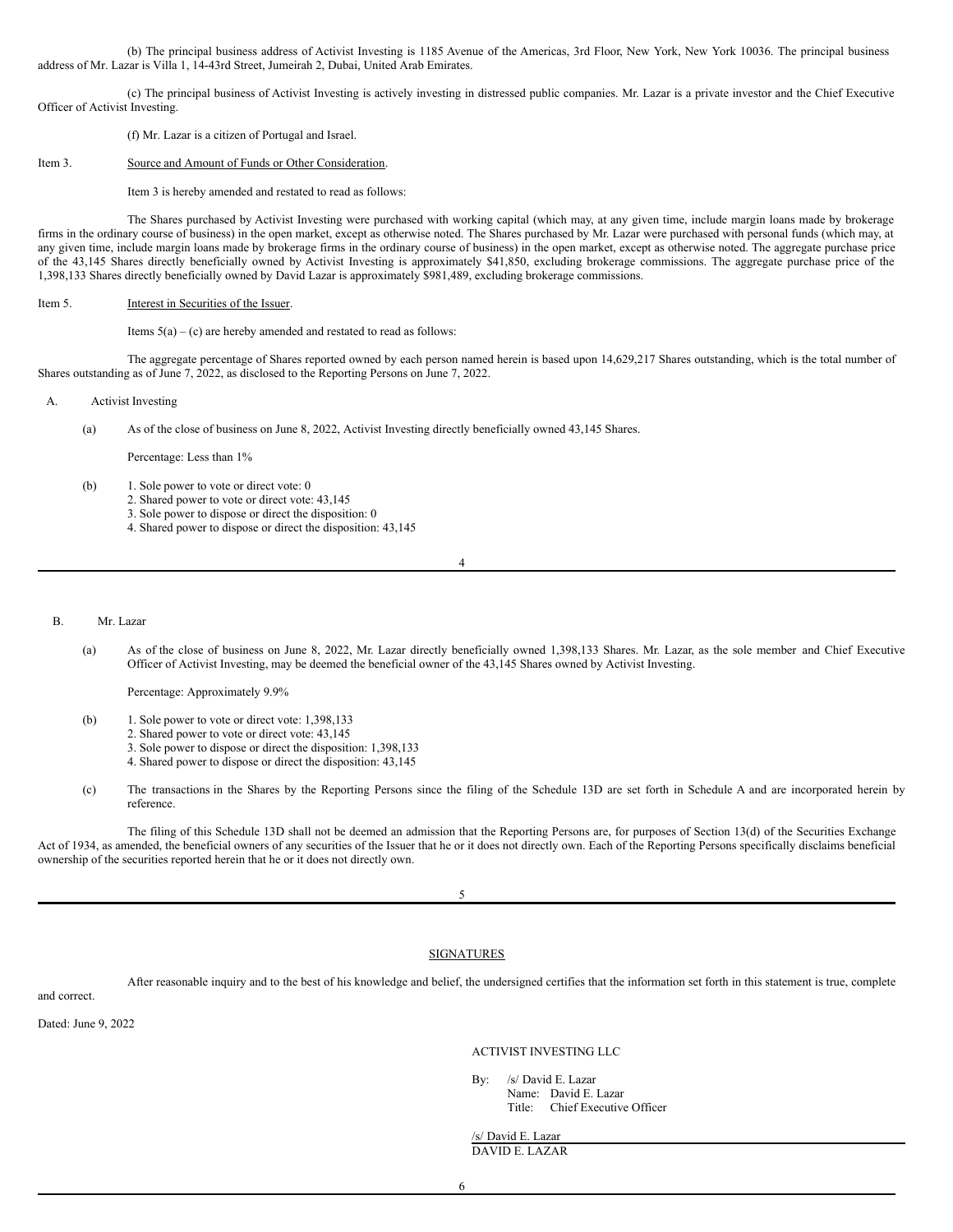(b) The principal business address of Activist Investing is 1185 Avenue of the Americas, 3rd Floor, New York, New York 10036. The principal business address of Mr. Lazar is Villa 1, 14-43rd Street, Jumeirah 2, Dubai, United Arab Emirates.

(c) The principal business of Activist Investing is actively investing in distressed public companies. Mr. Lazar is a private investor and the Chief Executive Officer of Activist Investing.

(f) Mr. Lazar is a citizen of Portugal and Israel.

### Item 3. Source and Amount of Funds or Other Consideration.

Item 3 is hereby amended and restated to read as follows:

The Shares purchased by Activist Investing were purchased with working capital (which may, at any given time, include margin loans made by brokerage firms in the ordinary course of business) in the open market, except as otherwise noted. The Shares purchased by Mr. Lazar were purchased with personal funds (which may, at any given time, include margin loans made by brokerage firms in the ordinary course of business) in the open market, except as otherwise noted. The aggregate purchase price of the 43,145 Shares directly beneficially owned by Activist Investing is approximately \$41,850, excluding brokerage commissions. The aggregate purchase price of the 1,398,133 Shares directly beneficially owned by David Lazar is approximately \$981,489, excluding brokerage commissions.

#### Item 5. Interest in Securities of the Issuer.

Items  $5(a) - (c)$  are hereby amended and restated to read as follows:

The aggregate percentage of Shares reported owned by each person named herein is based upon 14,629,217 Shares outstanding, which is the total number of Shares outstanding as of June 7, 2022, as disclosed to the Reporting Persons on June 7, 2022.

### A. Activist Investing

(a) As of the close of business on June 8, 2022, Activist Investing directly beneficially owned 43,145 Shares.

Percentage: Less than 1%

- (b) 1. Sole power to vote or direct vote: 0
	- 2. Shared power to vote or direct vote: 43,145
	- 3. Sole power to dispose or direct the disposition: 0
	- 4. Shared power to dispose or direct the disposition: 43,145

4

#### B. Mr. Lazar

(a) As of the close of business on June 8, 2022, Mr. Lazar directly beneficially owned 1,398,133 Shares. Mr. Lazar, as the sole member and Chief Executive Officer of Activist Investing, may be deemed the beneficial owner of the 43,145 Shares owned by Activist Investing.

Percentage: Approximately 9.9%

- (b) 1. Sole power to vote or direct vote: 1,398,133
	- 2. Shared power to vote or direct vote: 43,145
	- 3. Sole power to dispose or direct the disposition: 1,398,133
	- 4. Shared power to dispose or direct the disposition: 43,145
- (c) The transactions in the Shares by the Reporting Persons since the filing of the Schedule 13D are set forth in Schedule A and are incorporated herein by reference.

The filing of this Schedule 13D shall not be deemed an admission that the Reporting Persons are, for purposes of Section 13(d) of the Securities Exchange Act of 1934, as amended, the beneficial owners of any securities of the Issuer that he or it does not directly own. Each of the Reporting Persons specifically disclaims beneficial ownership of the securities reported herein that he or it does not directly own.

5

# SIGNATURES

After reasonable inquiry and to the best of his knowledge and belief, the undersigned certifies that the information set forth in this statement is true, complete

and correct.

Dated: June 9, 2022

ACTIVIST INVESTING LLC

By: /s/ David E. Lazar Name: David E. Lazar

Title: Chief Executive Officer

/s/ David E. Lazar DAVID E. LAZAR